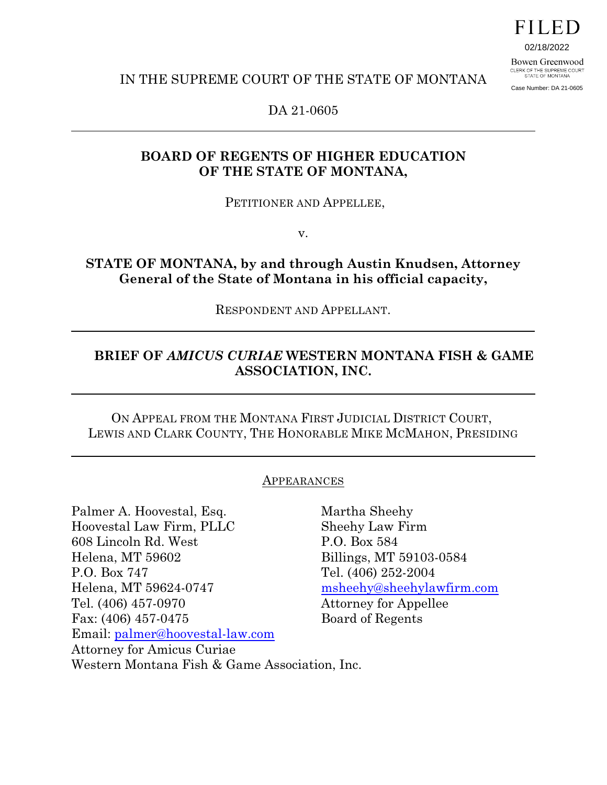FILED

02/18/2022

Bowen Greenwood CLERK OF THE SUPREME COURT<br>STATE OF MONTANA Case Number: DA 21-0605

IN THE SUPREME COURT OF THE STATE OF MONTANA

DA 21-0605

### **BOARD OF REGENTS OF HIGHER EDUCATION OF THE STATE OF MONTANA,**

PETITIONER AND APPELLEE,

v.

### **STATE OF MONTANA, by and through Austin Knudsen, Attorney General of the State of Montana in his official capacity,**

RESPONDENT AND APPELLANT.

### **BRIEF OF** *AMICUS CURIAE* **WESTERN MONTANA FISH & GAME ASSOCIATION, INC.**

ON APPEAL FROM THE MONTANA FIRST JUDICIAL DISTRICT COURT, LEWIS AND CLARK COUNTY, THE HONORABLE MIKE MCMAHON, PRESIDING

#### APPEARANCES

Palmer A. Hoovestal, Esq. Martha Sheehy Hoovestal Law Firm, PLLC Sheehy Law Firm 608 Lincoln Rd. West P.O. Box 584 Helena, MT 59602 Billings, MT 59103-0584 P.O. Box 747 Tel. (406) 252-2004 Helena, MT 59624-0747 [msheehy@sheehylawfirm.com](mailto:msheehy@sheehylawfirm.com) Tel. (406) 457-0970 Attorney for Appellee Fax: (406) 457-0475 Board of Regents Email: [palmer@hoovestal-law.com](mailto:palmer@hoovestal-law.com) Attorney for Amicus Curiae Western Montana Fish & Game Association, Inc.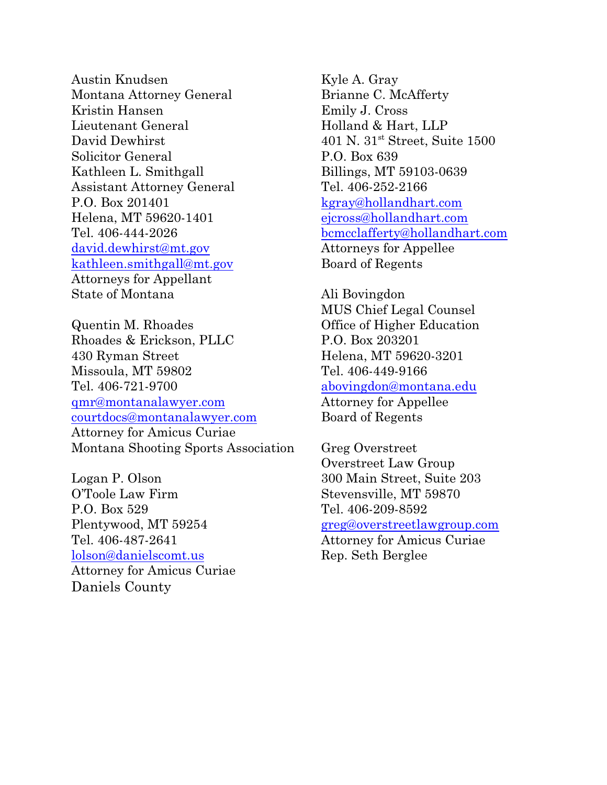Austin Knudsen Kyle A. Gray Montana Attorney General Brianne C. McAfferty Kristin Hansen Emily J. Cross Lieutenant General Holland & Hart, LLP David Dewhirst Solicitor General P.O. Box 639 Kathleen L. Smithgall Billings, MT 59103-0639 Assistant Attorney General Tel. 406-252-2166 P.O. Box 201401 [kgray@hollandhart.com](mailto:kgray@hollandhart.com) Helena, MT 59620-1401 [ejcross@hollandhart.com](mailto:ejcross@hollandhart.com) [david.dewhirst@mt.gov](mailto:david.dewhirst@mt.gov) Attorneys for Appellee [kathleen.smithgall@mt.gov](mailto:kathleen.smithgall@mt.gov) Board of Regents Attorneys for Appellant State of Montana Ali Bovingdon

Quentin M. Rhoades Office of Higher Education Rhoades & Erickson, PLLC P.O. Box 203201 430 Ryman Street Helena, MT 59620-3201 Missoula, MT 59802 Tel. 406-449-9166 Tel. 406-721-9700 [abovingdon@montana.edu](mailto:abovingdon@montana.edu) [qmr@montanalawyer.com](mailto:qmr@montanalawyer.com) Attorney for Appellee [courtdocs@montanalawyer.com](mailto:courtdocs@montanalawyer.com) Board of Regents Attorney for Amicus Curiae Montana Shooting Sports Association Greg Overstreet

Logan P. Olson 300 Main Street, Suite 203 O'Toole Law Firm Stevensville, MT 59870 P.O. Box 529 Tel. 406-209-8592 Plentywood, MT 59254 [greg@overstreetlawgroup.com](mailto:greg@overstreetlawgroup.com) Tel. 406-487-2641 Attorney for Amicus Curiae [lolson@danielscomt.us](mailto:lolson@danielscomt.us) Rep. Seth Berglee Attorney for Amicus Curiae Daniels County

401 N. 31<sup>st</sup> Street, Suite 1500 Tel. 406-444-2026 [bcmcclafferty@hollandhart.com](mailto:bcmcclafferty@hollandhart.com)

MUS Chief Legal Counsel

Overstreet Law Group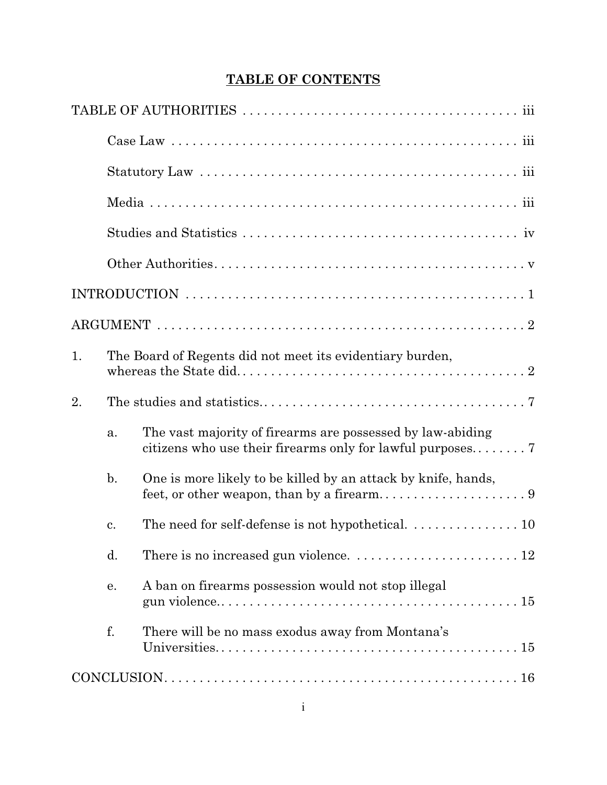### **TABLE OF CONTENTS**

| 1. |                | The Board of Regents did not meet its evidentiary burden,                                                                  |
|----|----------------|----------------------------------------------------------------------------------------------------------------------------|
| 2. |                |                                                                                                                            |
|    | a.             | The vast majority of firearms are possessed by law-abiding<br>citizens who use their firearms only for lawful purposes $7$ |
|    | $\mathbf{b}$ . | One is more likely to be killed by an attack by knife, hands,                                                              |
|    | c.             | The need for self-defense is not hypothetical. 10                                                                          |
|    | $\mathbf{d}$ . | There is no increased gun violence. $\ldots \ldots \ldots \ldots \ldots \ldots \ldots 12$                                  |
|    | e.             | A ban on firearms possession would not stop illegal                                                                        |
|    | f.             | There will be no mass exodus away from Montana's                                                                           |
|    |                |                                                                                                                            |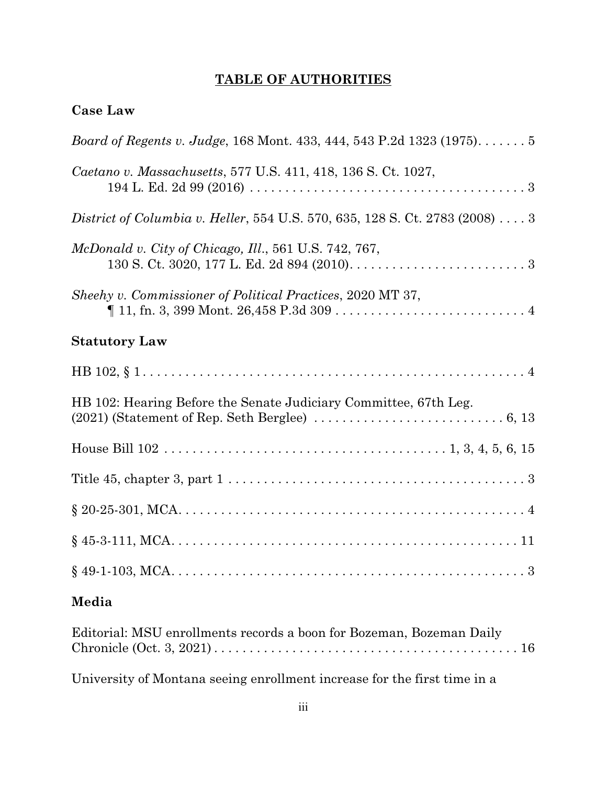### **TABLE OF AUTHORITIES**

| <b>Case Law</b>                                                              |
|------------------------------------------------------------------------------|
| Board of Regents v. Judge, 168 Mont. 433, 444, 543 P.2d 1323 (1975) 5        |
| Caetano v. Massachusetts, 577 U.S. 411, 418, 136 S. Ct. 1027,                |
| District of Columbia v. Heller, 554 U.S. 570, 635, 128 S. Ct. 2783 (2008)  3 |
| McDonald v. City of Chicago, Ill., 561 U.S. 742, 767,                        |
| Sheehy v. Commissioner of Political Practices, 2020 MT 37,                   |
| <b>Statutory Law</b>                                                         |
|                                                                              |
| HB 102: Hearing Before the Senate Judiciary Committee, 67th Leg.             |
|                                                                              |
|                                                                              |
|                                                                              |
|                                                                              |
|                                                                              |

### **Media**

| Editorial: MSU enrollments records a boon for Bozeman, Bozeman Daily |  |
|----------------------------------------------------------------------|--|
|                                                                      |  |

University of Montana seeing enrollment increase for the first time in a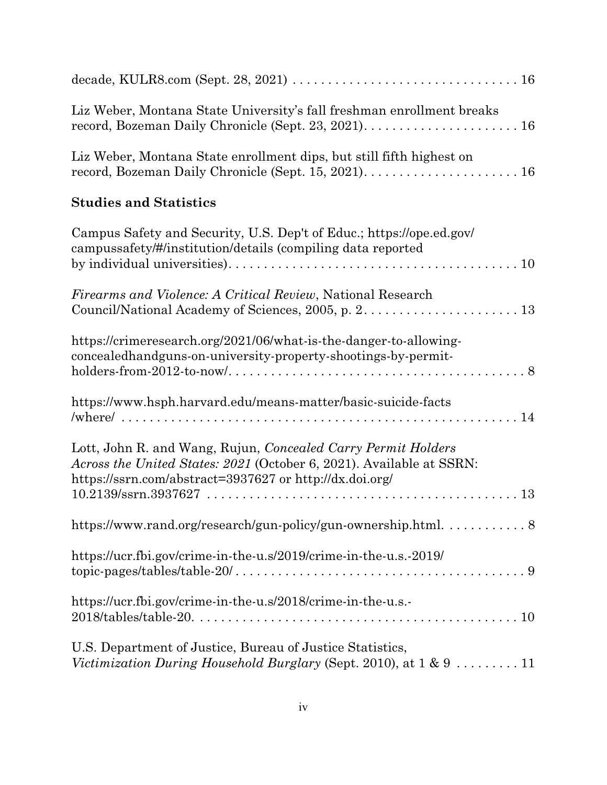| Liz Weber, Montana State University's fall freshman enrollment breaks<br>record, Bozeman Daily Chronicle (Sept. 23, 2021) 16                                                                                                                                                                                                    |
|---------------------------------------------------------------------------------------------------------------------------------------------------------------------------------------------------------------------------------------------------------------------------------------------------------------------------------|
| Liz Weber, Montana State enrollment dips, but still fifth highest on                                                                                                                                                                                                                                                            |
| <b>Studies and Statistics</b>                                                                                                                                                                                                                                                                                                   |
| Campus Safety and Security, U.S. Dep't of Educ.; https://ope.ed.gov/<br>campussafety/#/institution/details (compiling data reported                                                                                                                                                                                             |
| <i>Firearms and Violence: A Critical Review, National Research</i>                                                                                                                                                                                                                                                              |
| https://crimeresearch.org/2021/06/what-is-the-danger-to-allowing-<br>concealedhandguns-on-university-property-shootings-by-permit-                                                                                                                                                                                              |
| https://www.hsph.harvard.edu/means-matter/basic-suicide-facts                                                                                                                                                                                                                                                                   |
| Lott, John R. and Wang, Rujun, Concealed Carry Permit Holders<br>Across the United States: 2021 (October 6, 2021). Available at SSRN:<br>https://ssrn.com/abstract=3937627 or http://dx.doi.org/<br>$10.2139/\text{ssrn}.3937627 \ldots \ldots \ldots \ldots \ldots \ldots \ldots \ldots \ldots \ldots \ldots \ldots \ldots 13$ |
| https://www.rand.org/research/gun-policy/gun-ownership.html                                                                                                                                                                                                                                                                     |
| https://ucr.fbi.gov/crime-in-the-u.s/2019/crime-in-the-u.s.-2019/                                                                                                                                                                                                                                                               |
| https://ucr.fbi.gov/crime-in-the-u.s/2018/crime-in-the-u.s.-                                                                                                                                                                                                                                                                    |
| U.S. Department of Justice, Bureau of Justice Statistics,<br>Victimization During Household Burglary (Sept. 2010), at 1 & 9  11                                                                                                                                                                                                 |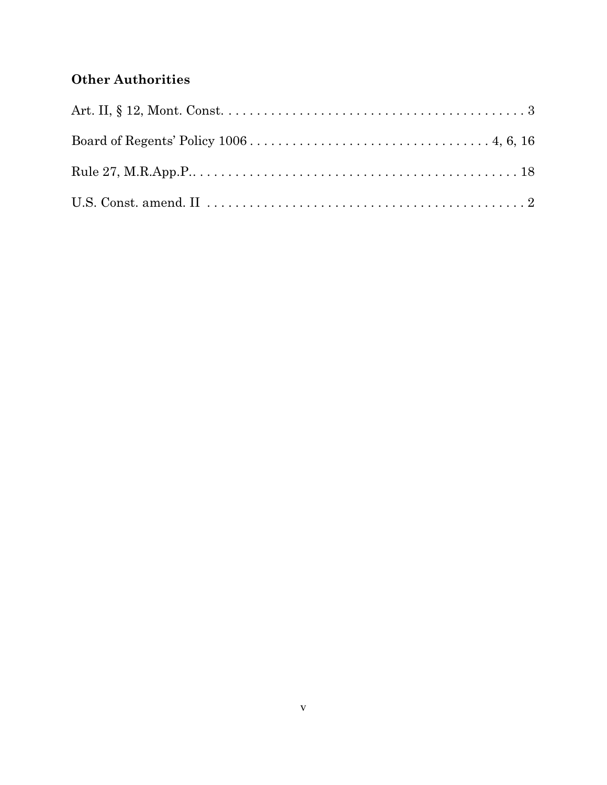### **Other Authorities**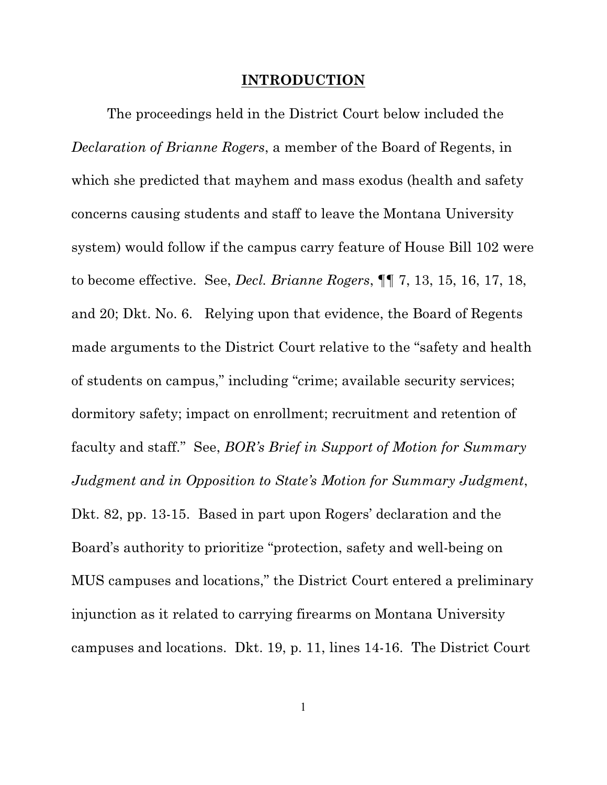#### **INTRODUCTION**

The proceedings held in the District Court below included the *Declaration of Brianne Rogers*, a member of the Board of Regents, in which she predicted that mayhem and mass exodus (health and safety concerns causing students and staff to leave the Montana University system) would follow if the campus carry feature of House Bill 102 were to become effective. See, *Decl. Brianne Rogers*, ¶¶ 7, 13, 15, 16, 17, 18, and 20; Dkt. No. 6. Relying upon that evidence, the Board of Regents made arguments to the District Court relative to the "safety and health of students on campus," including "crime; available security services; dormitory safety; impact on enrollment; recruitment and retention of faculty and staff." See, *BOR's Brief in Support of Motion for Summary Judgment and in Opposition to State's Motion for Summary Judgment*, Dkt. 82, pp. 13-15. Based in part upon Rogers' declaration and the Board's authority to prioritize "protection, safety and well-being on MUS campuses and locations," the District Court entered a preliminary injunction as it related to carrying firearms on Montana University campuses and locations. Dkt. 19, p. 11, lines 14-16. The District Court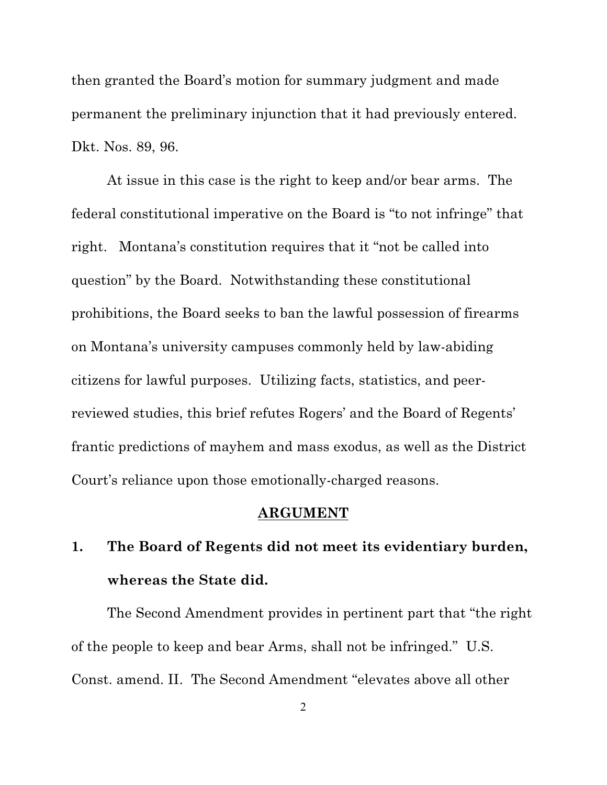then granted the Board's motion for summary judgment and made permanent the preliminary injunction that it had previously entered. Dkt. Nos. 89, 96.

At issue in this case is the right to keep and/or bear arms. The federal constitutional imperative on the Board is "to not infringe" that right. Montana's constitution requires that it "not be called into question" by the Board. Notwithstanding these constitutional prohibitions, the Board seeks to ban the lawful possession of firearms on Montana's university campuses commonly held by law-abiding citizens for lawful purposes. Utilizing facts, statistics, and peerreviewed studies, this brief refutes Rogers' and the Board of Regents' frantic predictions of mayhem and mass exodus, as well as the District Court's reliance upon those emotionally-charged reasons.

### **ARGUMENT**

## **1. The Board of Regents did not meet its evidentiary burden, whereas the State did.**

The Second Amendment provides in pertinent part that "the right of the people to keep and bear Arms, shall not be infringed." U.S. Const. amend. II. The Second Amendment "elevates above all other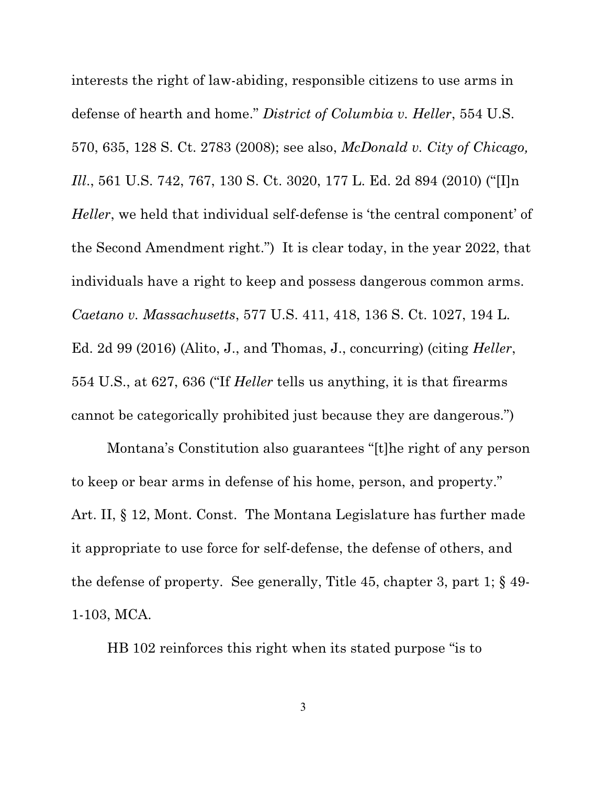interests the right of law-abiding, responsible citizens to use arms in defense of hearth and home." *District of Columbia v. Heller*, 554 U.S. 570, 635, 128 S. Ct. 2783 (2008); see also, *McDonald v. City of Chicago, Ill*., 561 U.S. 742, 767, 130 S. Ct. 3020, 177 L. Ed. 2d 894 (2010) ("[I]n *Heller*, we held that individual self-defense is 'the central component' of the Second Amendment right.") It is clear today, in the year 2022, that individuals have a right to keep and possess dangerous common arms. *Caetano v. Massachusetts*, 577 U.S. 411, 418, 136 S. Ct. 1027, 194 L. Ed. 2d 99 (2016) (Alito, J., and Thomas, J., concurring) (citing *Heller*, 554 U.S., at 627, 636 ("If *Heller* tells us anything, it is that firearms cannot be categorically prohibited just because they are dangerous.")

Montana's Constitution also guarantees "[t]he right of any person to keep or bear arms in defense of his home, person, and property." Art. II, § 12, Mont. Const. The Montana Legislature has further made it appropriate to use force for self-defense, the defense of others, and the defense of property. See generally, Title 45, chapter 3, part 1; § 49- 1-103, MCA.

HB 102 reinforces this right when its stated purpose "is to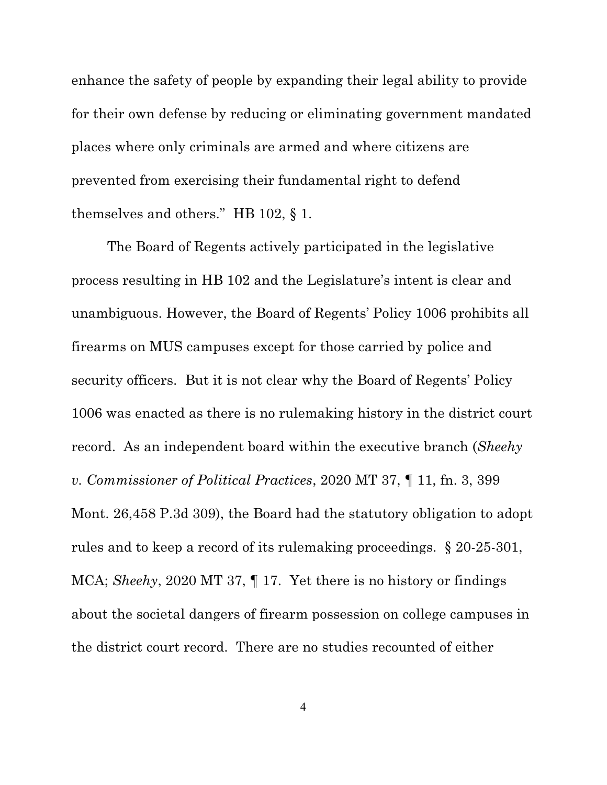enhance the safety of people by expanding their legal ability to provide for their own defense by reducing or eliminating government mandated places where only criminals are armed and where citizens are prevented from exercising their fundamental right to defend themselves and others." HB 102, § 1.

The Board of Regents actively participated in the legislative process resulting in HB 102 and the Legislature's intent is clear and unambiguous. However, the Board of Regents' Policy 1006 prohibits all firearms on MUS campuses except for those carried by police and security officers. But it is not clear why the Board of Regents' Policy 1006 was enacted as there is no rulemaking history in the district court record. As an independent board within the executive branch (*Sheehy v. Commissioner of Political Practices*, 2020 MT 37, ¶ 11, fn. 3, 399 Mont. 26,458 P.3d 309), the Board had the statutory obligation to adopt rules and to keep a record of its rulemaking proceedings. § 20-25-301, MCA; *Sheehy*, 2020 MT 37, ¶ 17. Yet there is no history or findings about the societal dangers of firearm possession on college campuses in the district court record. There are no studies recounted of either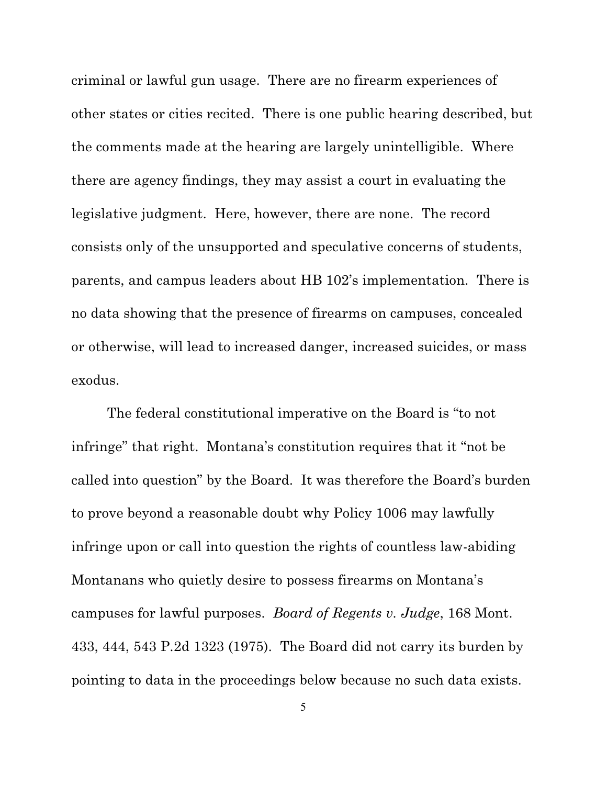criminal or lawful gun usage. There are no firearm experiences of other states or cities recited. There is one public hearing described, but the comments made at the hearing are largely unintelligible. Where there are agency findings, they may assist a court in evaluating the legislative judgment. Here, however, there are none. The record consists only of the unsupported and speculative concerns of students, parents, and campus leaders about HB 102's implementation. There is no data showing that the presence of firearms on campuses, concealed or otherwise, will lead to increased danger, increased suicides, or mass exodus.

The federal constitutional imperative on the Board is "to not infringe" that right. Montana's constitution requires that it "not be called into question" by the Board. It was therefore the Board's burden to prove beyond a reasonable doubt why Policy 1006 may lawfully infringe upon or call into question the rights of countless law-abiding Montanans who quietly desire to possess firearms on Montana's campuses for lawful purposes. *Board of Regents v. Judge*, 168 Mont. 433, 444, 543 P.2d 1323 (1975). The Board did not carry its burden by pointing to data in the proceedings below because no such data exists.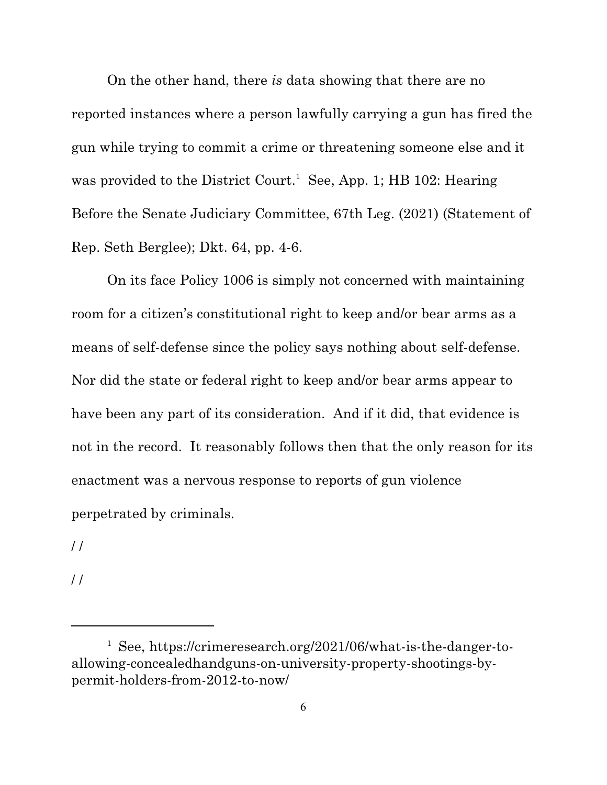On the other hand, there *is* data showing that there are no reported instances where a person lawfully carrying a gun has fired the gun while trying to commit a crime or threatening someone else and it was provided to the District Court. <sup>1</sup> See, App. 1; HB 102: Hearing Before the Senate Judiciary Committee, 67th Leg. (2021) (Statement of Rep. Seth Berglee); Dkt. 64, pp. 4-6.

On its face Policy 1006 is simply not concerned with maintaining room for a citizen's constitutional right to keep and/or bear arms as a means of self-defense since the policy says nothing about self-defense. Nor did the state or federal right to keep and/or bear arms appear to have been any part of its consideration. And if it did, that evidence is not in the record. It reasonably follows then that the only reason for its enactment was a nervous response to reports of gun violence perpetrated by criminals.

 $\frac{1}{2}$ 

 $\frac{1}{2}$ 

<sup>&</sup>lt;sup>1</sup> See, https://crimeresearch.org/2021/06/what-is-the-danger-toallowing-concealedhandguns-on-university-property-shootings-bypermit-holders-from-2012-to-now/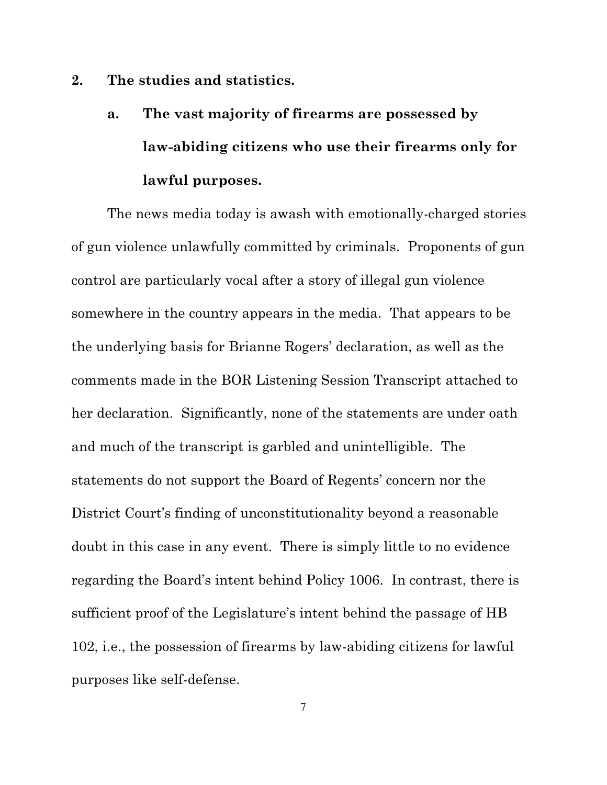**2. The studies and statistics.**

# **a. The vast majority of firearms are possessed by law-abiding citizens who use their firearms only for lawful purposes.**

The news media today is awash with emotionally-charged stories of gun violence unlawfully committed by criminals. Proponents of gun control are particularly vocal after a story of illegal gun violence somewhere in the country appears in the media. That appears to be the underlying basis for Brianne Rogers' declaration, as well as the comments made in the BOR Listening Session Transcript attached to her declaration. Significantly, none of the statements are under oath and much of the transcript is garbled and unintelligible. The statements do not support the Board of Regents' concern nor the District Court's finding of unconstitutionality beyond a reasonable doubt in this case in any event. There is simply little to no evidence regarding the Board's intent behind Policy 1006. In contrast, there is sufficient proof of the Legislature's intent behind the passage of HB 102, i.e., the possession of firearms by law-abiding citizens for lawful purposes like self-defense.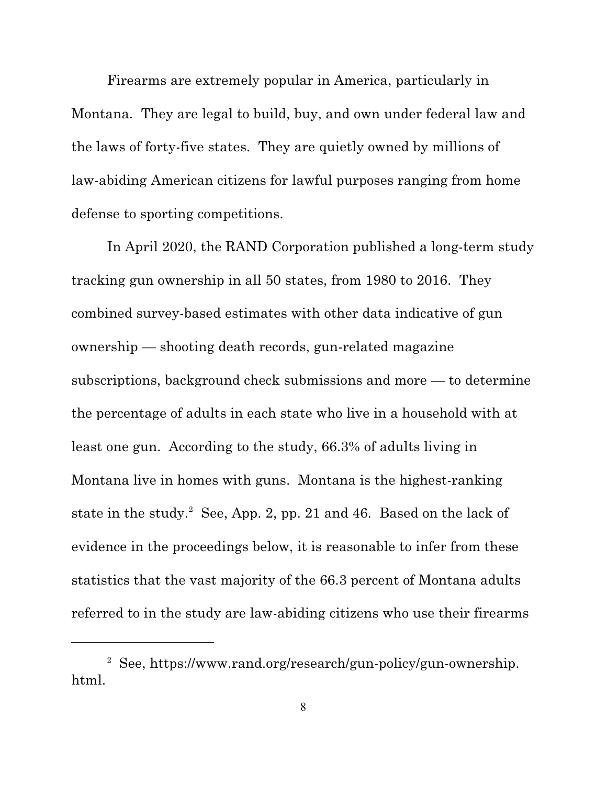Firearms are extremely popular in America, particularly in Montana. They are legal to build, buy, and own under federal law and the laws of forty-five states. They are quietly owned by millions of law-abiding American citizens for lawful purposes ranging from home defense to sporting competitions.

In April 2020, the RAND Corporation published a long-term study tracking gun ownership in all 50 states, from 1980 to 2016. They combined survey-based estimates with other data indicative of gun ownership — shooting death records, gun-related magazine subscriptions, background check submissions and more — to determine the percentage of adults in each state who live in a household with at least one gun. According to the study, 66.3% of adults living in Montana live in homes with guns. Montana is the highest-ranking state in the study. <sup>2</sup> See, App. 2, pp. 21 and 46. Based on the lack of evidence in the proceedings below, it is reasonable to infer from these statistics that the vast majority of the 66.3 percent of Montana adults referred to in the study are law-abiding citizens who use their firearms

<sup>2</sup> See, https://www.rand.org/research/gun-policy/gun-ownership. html.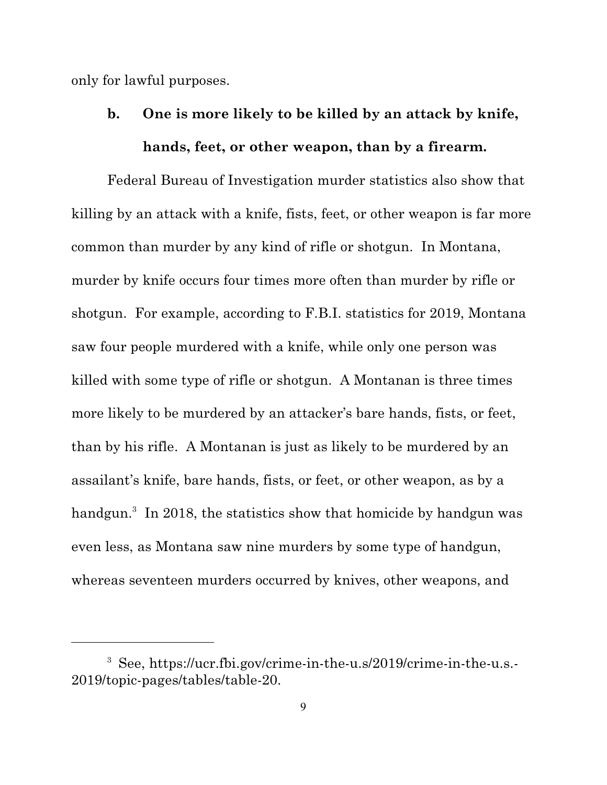only for lawful purposes.

# **b. One is more likely to be killed by an attack by knife, hands, feet, or other weapon, than by a firearm.**

Federal Bureau of Investigation murder statistics also show that killing by an attack with a knife, fists, feet, or other weapon is far more common than murder by any kind of rifle or shotgun. In Montana, murder by knife occurs four times more often than murder by rifle or shotgun. For example, according to F.B.I. statistics for 2019, Montana saw four people murdered with a knife, while only one person was killed with some type of rifle or shotgun. A Montanan is three times more likely to be murdered by an attacker's bare hands, fists, or feet, than by his rifle. A Montanan is just as likely to be murdered by an assailant's knife, bare hands, fists, or feet, or other weapon, as by a handgun.<sup>3</sup> In 2018, the statistics show that homicide by handgun was even less, as Montana saw nine murders by some type of handgun, whereas seventeen murders occurred by knives, other weapons, and

<sup>3</sup> See, https://ucr.fbi.gov/crime-in-the-u.s/2019/crime-in-the-u.s.- 2019/topic-pages/tables/table-20.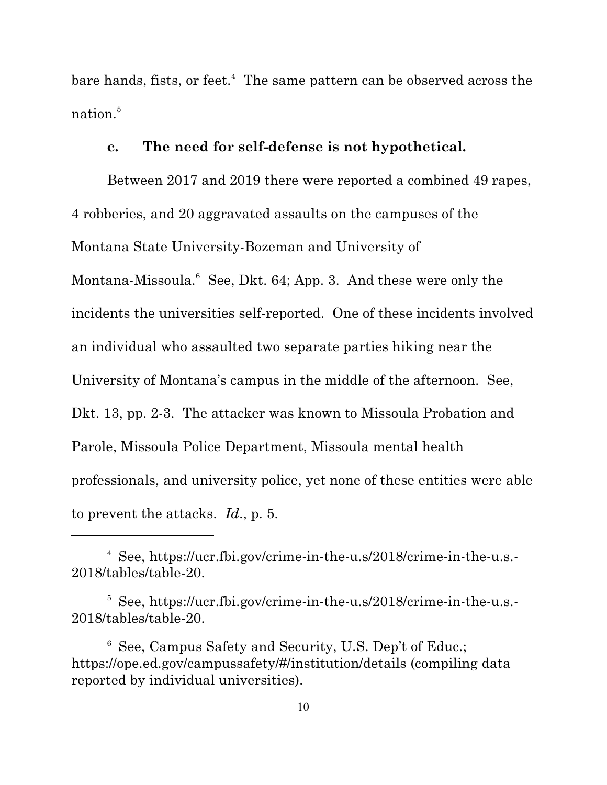bare hands, fists, or feet. <sup>4</sup> The same pattern can be observed across the nation.<sup>5</sup>

### **c. The need for self-defense is not hypothetical.**

Between 2017 and 2019 there were reported a combined 49 rapes, 4 robberies, and 20 aggravated assaults on the campuses of the Montana State University-Bozeman and University of Montana-Missoula.<sup>6</sup> See, Dkt. 64; App. 3. And these were only the incidents the universities self-reported. One of these incidents involved an individual who assaulted two separate parties hiking near the University of Montana's campus in the middle of the afternoon. See, Dkt. 13, pp. 2-3. The attacker was known to Missoula Probation and Parole, Missoula Police Department, Missoula mental health professionals, and university police, yet none of these entities were able to prevent the attacks. *Id*., p. 5.

<sup>4</sup> See, https://ucr.fbi.gov/crime-in-the-u.s/2018/crime-in-the-u.s.- 2018/tables/table-20.

<sup>&</sup>lt;sup>5</sup> See, https://ucr.fbi.gov/crime-in-the-u.s/2018/crime-in-the-u.s.-2018/tables/table-20.

<sup>6</sup> See, Campus Safety and Security, U.S. Dep't of Educ.; https://ope.ed.gov/campussafety/#/institution/details (compiling data reported by individual universities).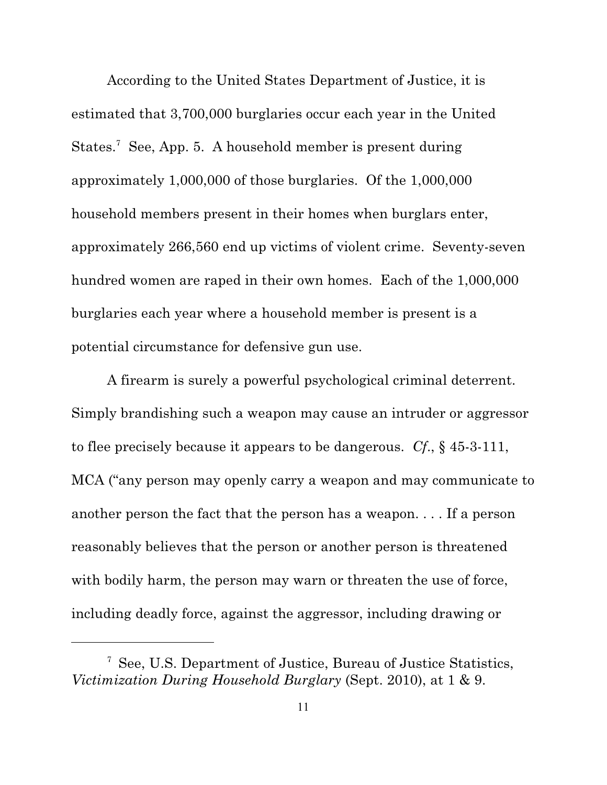According to the United States Department of Justice, it is estimated that 3,700,000 burglaries occur each year in the United States.<sup>7</sup> See, App. 5. A household member is present during approximately 1,000,000 of those burglaries. Of the 1,000,000 household members present in their homes when burglars enter, approximately 266,560 end up victims of violent crime. Seventy-seven hundred women are raped in their own homes. Each of the 1,000,000 burglaries each year where a household member is present is a potential circumstance for defensive gun use.

A firearm is surely a powerful psychological criminal deterrent. Simply brandishing such a weapon may cause an intruder or aggressor to flee precisely because it appears to be dangerous. *Cf*., § 45-3-111, MCA ("any person may openly carry a weapon and may communicate to another person the fact that the person has a weapon. . . . If a person reasonably believes that the person or another person is threatened with bodily harm, the person may warn or threaten the use of force, including deadly force, against the aggressor, including drawing or

<sup>7</sup> See, U.S. Department of Justice, Bureau of Justice Statistics, *Victimization During Household Burglary* (Sept. 2010), at 1 & 9.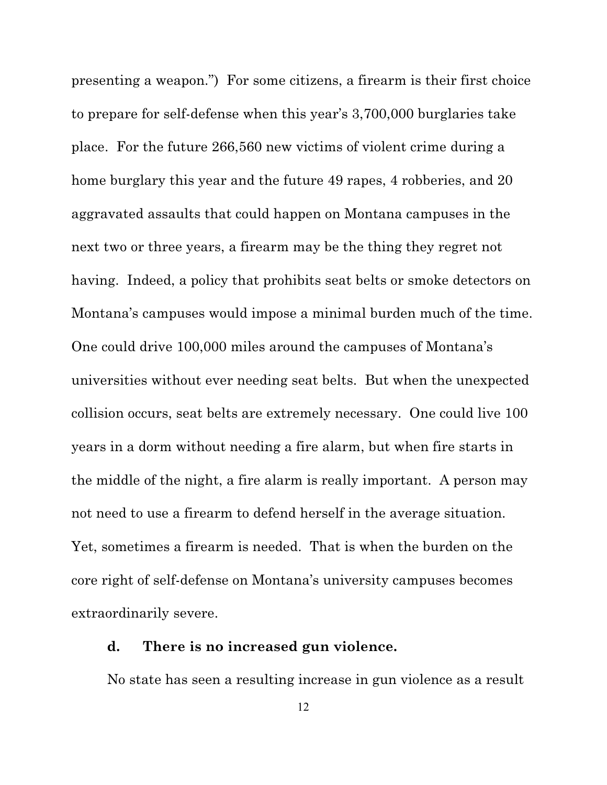presenting a weapon.") For some citizens, a firearm is their first choice to prepare for self-defense when this year's 3,700,000 burglaries take place. For the future 266,560 new victims of violent crime during a home burglary this year and the future 49 rapes, 4 robberies, and 20 aggravated assaults that could happen on Montana campuses in the next two or three years, a firearm may be the thing they regret not having. Indeed, a policy that prohibits seat belts or smoke detectors on Montana's campuses would impose a minimal burden much of the time. One could drive 100,000 miles around the campuses of Montana's universities without ever needing seat belts. But when the unexpected collision occurs, seat belts are extremely necessary. One could live 100 years in a dorm without needing a fire alarm, but when fire starts in the middle of the night, a fire alarm is really important. A person may not need to use a firearm to defend herself in the average situation. Yet, sometimes a firearm is needed. That is when the burden on the core right of self-defense on Montana's university campuses becomes extraordinarily severe.

### **d. There is no increased gun violence.**

No state has seen a resulting increase in gun violence as a result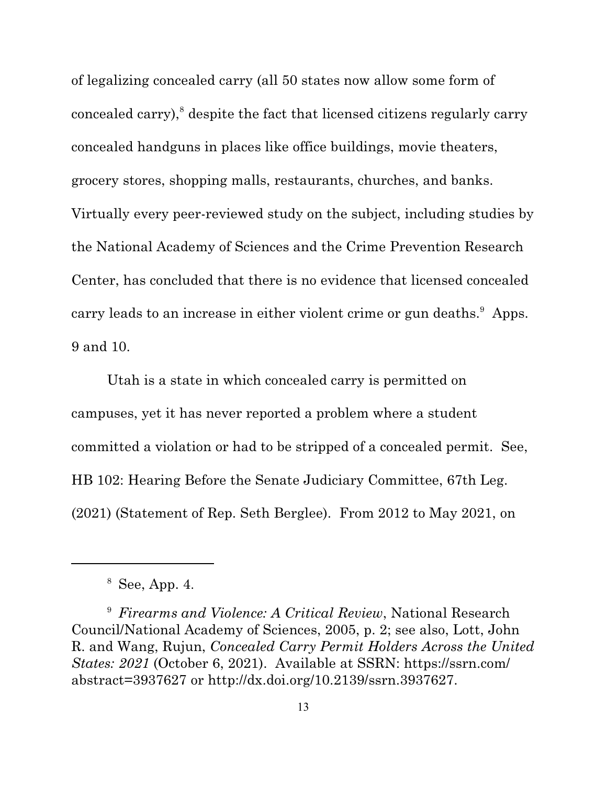of legalizing concealed carry (all 50 states now allow some form of concealed carry),<sup>8</sup> despite the fact that licensed citizens regularly carry concealed handguns in places like office buildings, movie theaters, grocery stores, shopping malls, restaurants, churches, and banks. Virtually every peer-reviewed study on the subject, including studies by the National Academy of Sciences and the Crime Prevention Research Center, has concluded that there is no evidence that licensed concealed carry leads to an increase in either violent crime or gun deaths.<sup>9</sup> Apps. 9 and 10.

Utah is a state in which concealed carry is permitted on campuses, yet it has never reported a problem where a student committed a violation or had to be stripped of a concealed permit. See, HB 102: Hearing Before the Senate Judiciary Committee, 67th Leg. (2021) (Statement of Rep. Seth Berglee). From 2012 to May 2021, on

<sup>8</sup> See, App. 4.

<sup>9</sup> *Firearms and Violence: A Critical Review*, National Research Council/National Academy of Sciences, 2005, p. 2; see also, Lott, John R. and Wang, Rujun, *Concealed Carry Permit Holders Across the United States: 2021* (October 6, 2021). Available at SSRN: https://ssrn.com/ abstract=3937627 or http://dx.doi.org/10.2139/ssrn.3937627.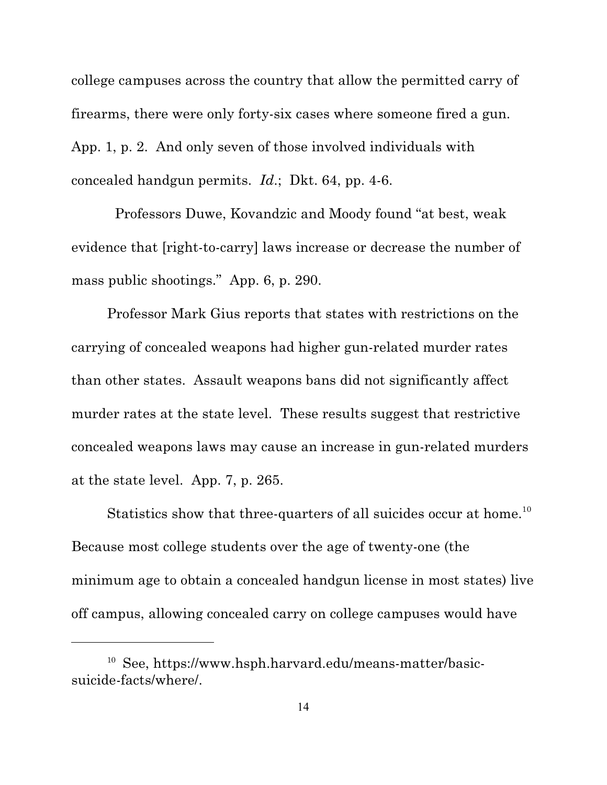college campuses across the country that allow the permitted carry of firearms, there were only forty-six cases where someone fired a gun. App. 1, p. 2. And only seven of those involved individuals with concealed handgun permits. *Id*.; Dkt. 64, pp. 4-6.

Professors Duwe, Kovandzic and Moody found "at best, weak evidence that [right-to-carry] laws increase or decrease the number of mass public shootings." App. 6, p. 290.

Professor Mark Gius reports that states with restrictions on the carrying of concealed weapons had higher gun-related murder rates than other states. Assault weapons bans did not significantly affect murder rates at the state level. These results suggest that restrictive concealed weapons laws may cause an increase in gun-related murders at the state level. App. 7, p. 265.

Statistics show that three-quarters of all suicides occur at home.<sup>10</sup> Because most college students over the age of twenty-one (the minimum age to obtain a concealed handgun license in most states) live off campus, allowing concealed carry on college campuses would have

<sup>10</sup> See, https://www.hsph.harvard.edu/means-matter/basicsuicide-facts/where/.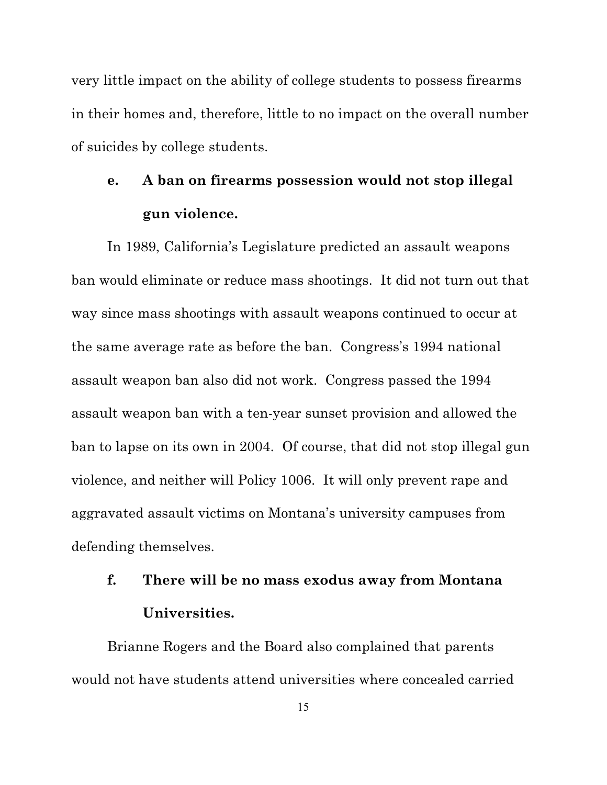very little impact on the ability of college students to possess firearms in their homes and, therefore, little to no impact on the overall number of suicides by college students.

# **e. A ban on firearms possession would not stop illegal gun violence.**

In 1989, California's Legislature predicted an assault weapons ban would eliminate or reduce mass shootings. It did not turn out that way since mass shootings with assault weapons continued to occur at the same average rate as before the ban. Congress's 1994 national assault weapon ban also did not work. Congress passed the 1994 assault weapon ban with a ten-year sunset provision and allowed the ban to lapse on its own in 2004. Of course, that did not stop illegal gun violence, and neither will Policy 1006. It will only prevent rape and aggravated assault victims on Montana's university campuses from defending themselves.

# **f. There will be no mass exodus away from Montana Universities.**

Brianne Rogers and the Board also complained that parents would not have students attend universities where concealed carried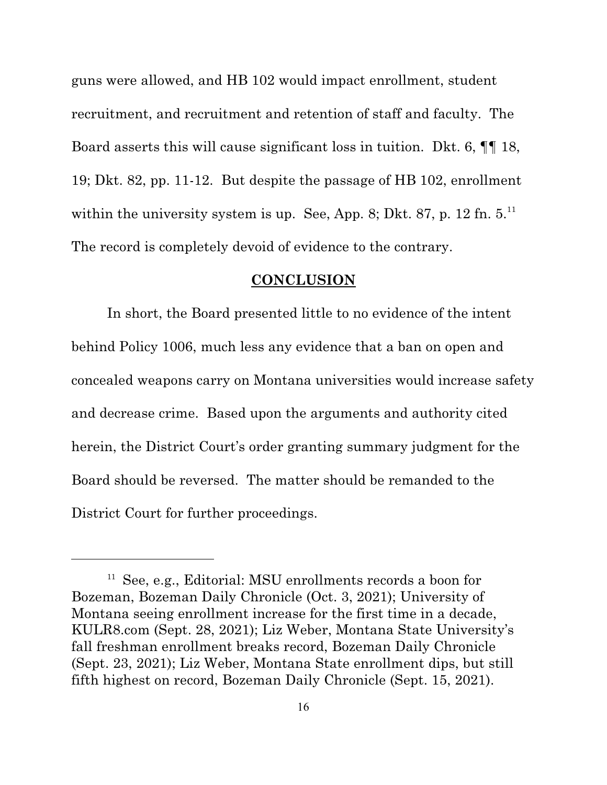guns were allowed, and HB 102 would impact enrollment, student recruitment, and recruitment and retention of staff and faculty. The Board asserts this will cause significant loss in tuition. Dkt. 6, ¶¶ 18, 19; Dkt. 82, pp. 11-12. But despite the passage of HB 102, enrollment within the university system is up. See, App. 8; Dkt. 87, p. 12 fn.  $5.^{11}$ The record is completely devoid of evidence to the contrary.

### **CONCLUSION**

In short, the Board presented little to no evidence of the intent behind Policy 1006, much less any evidence that a ban on open and concealed weapons carry on Montana universities would increase safety and decrease crime. Based upon the arguments and authority cited herein, the District Court's order granting summary judgment for the Board should be reversed. The matter should be remanded to the District Court for further proceedings.

 $11$  See, e.g., Editorial: MSU enrollments records a boon for Bozeman, Bozeman Daily Chronicle (Oct. 3, 2021); University of Montana seeing enrollment increase for the first time in a decade, KULR8.com (Sept. 28, 2021); Liz Weber, Montana State University's fall freshman enrollment breaks record, Bozeman Daily Chronicle (Sept. 23, 2021); Liz Weber, Montana State enrollment dips, but still fifth highest on record, Bozeman Daily Chronicle (Sept. 15, 2021).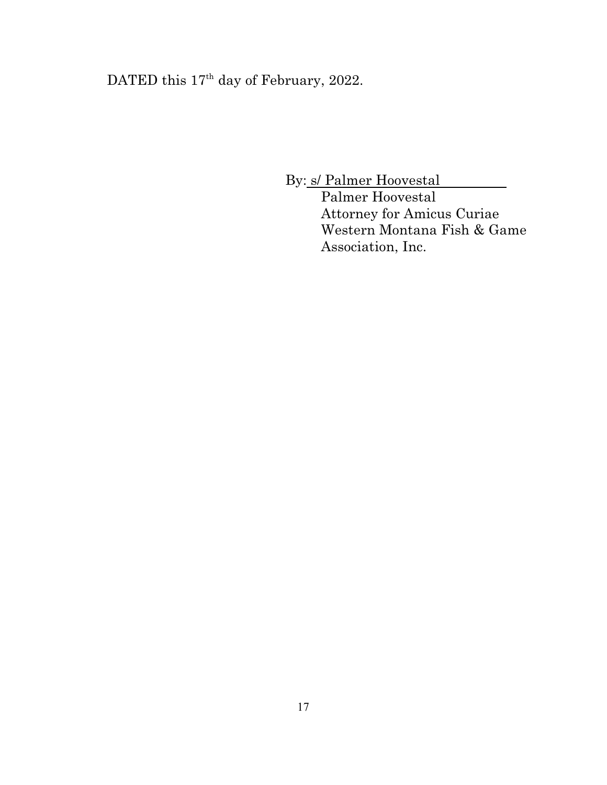DATED this 17<sup>th</sup> day of February, 2022.

By: s/ Palmer Hoovestal

Palmer Hoovestal Attorney for Amicus Curiae Western Montana Fish & Game Association, Inc.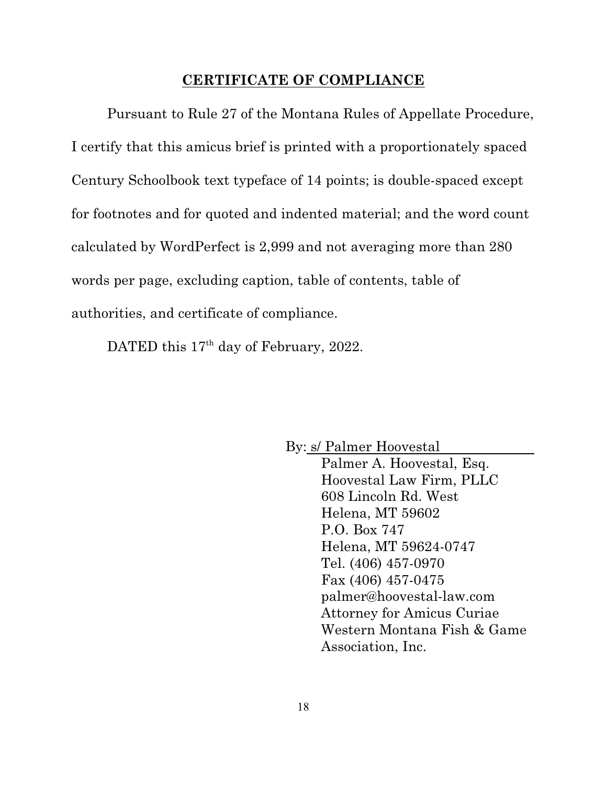### **CERTIFICATE OF COMPLIANCE**

Pursuant to Rule 27 of the Montana Rules of Appellate Procedure, I certify that this amicus brief is printed with a proportionately spaced Century Schoolbook text typeface of 14 points; is double-spaced except for footnotes and for quoted and indented material; and the word count calculated by WordPerfect is 2,999 and not averaging more than 280 words per page, excluding caption, table of contents, table of authorities, and certificate of compliance.

DATED this 17<sup>th</sup> day of February, 2022.

By: s/ Palmer Hoovestal

Palmer A. Hoovestal, Esq. Hoovestal Law Firm, PLLC 608 Lincoln Rd. West Helena, MT 59602 P.O. Box 747 Helena, MT 59624-0747 Tel. (406) 457-0970 Fax (406) 457-0475 palmer@hoovestal-law.com Attorney for Amicus Curiae Western Montana Fish & Game Association, Inc.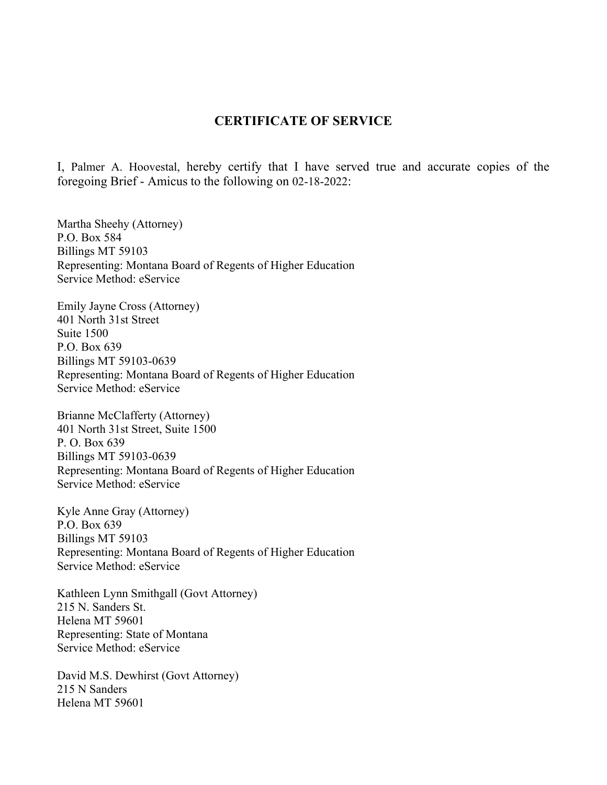#### **CERTIFICATE OF SERVICE**

I, Palmer A. Hoovestal, hereby certify that I have served true and accurate copies of the foregoing Brief - Amicus to the following on 02-18-2022:

Martha Sheehy (Attorney) P.O. Box 584 Billings MT 59103 Representing: Montana Board of Regents of Higher Education Service Method: eService

Emily Jayne Cross (Attorney) 401 North 31st Street Suite 1500 P.O. Box 639 Billings MT 59103-0639 Representing: Montana Board of Regents of Higher Education Service Method: eService

Brianne McClafferty (Attorney) 401 North 31st Street, Suite 1500 P. O. Box 639 Billings MT 59103-0639 Representing: Montana Board of Regents of Higher Education Service Method: eService

Kyle Anne Gray (Attorney) P.O. Box 639 Billings MT 59103 Representing: Montana Board of Regents of Higher Education Service Method: eService

Kathleen Lynn Smithgall (Govt Attorney) 215 N. Sanders St. Helena MT 59601 Representing: State of Montana Service Method: eService

David M.S. Dewhirst (Govt Attorney) 215 N Sanders Helena MT 59601